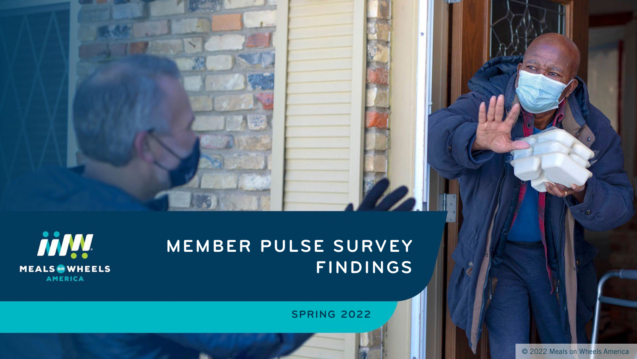# **MEMBER PULSE SURVEY FINDINGS**



**SPRING 2022**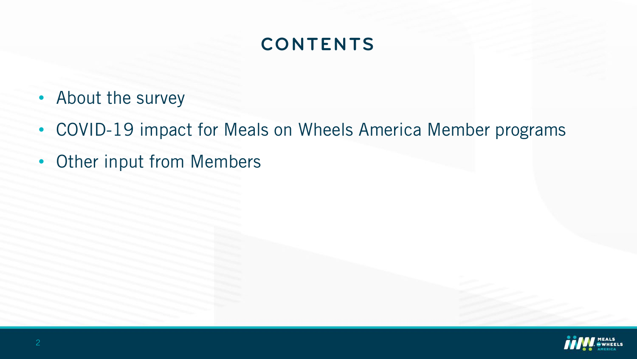### **CONTENTS**

- About the survey
- COVID-19 impact for Meals on Wheels America Member programs
- Other input from Members

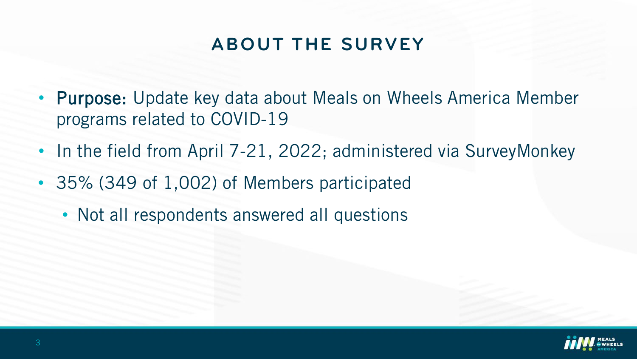# **ABOUT THE SURVEY**

- Purpose: Update key data about Meals on Wheels America Member programs related to COVID-19
- In the field from April 7-21, 2022; administered via SurveyMonkey
- 35% (349 of 1,002) of Members participated
	- Not all respondents answered all questions

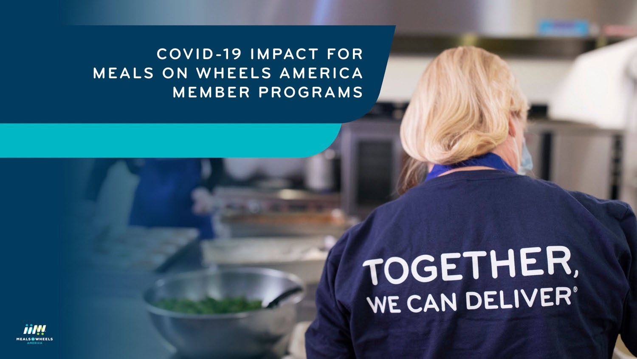#### **COVID-19 IMPACT FOR MEALS ON WHEELS AMERICA MEMBER PROGRAMS**

# TOGETHER, WE CAN DELIVER®

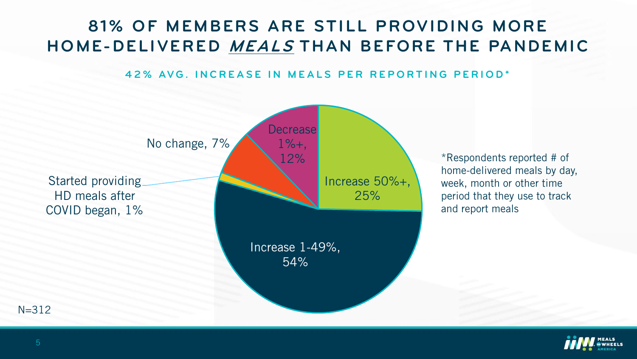### **81% OF MEMBERS ARE STILL PROVIDING MORE HOME-DELIVERED MEALS THAN BEFORE THE PANDEMIC**

#### **42% AVG. INCREASE IN MEALS PER REPORTING PERIOD \***



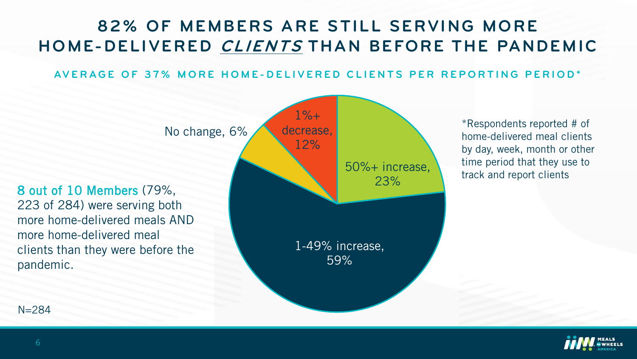### **82% OF MEMBERS ARE STILL SERVING MORE HOME-DELIVERED CLIENTS THAN BEFORE THE PANDEMIC**

**AVERAGE OF 37% MORE HOME - DELIVERED CLIENTS PER REPORTING PERIOD\***



\*Respondents reported # of home-delivered meal clients by day, week, month or other time period that they use to track and report clients

N=284

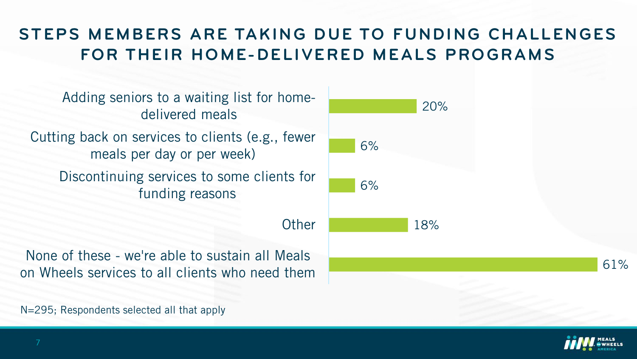#### **STEPS MEMBERS ARE TAKING DUE TO FUNDING CHALLENGES FOR THEIR HOME-DELIVERED MEALS PROGRAMS**

**Other** Discontinuing services to some clients for funding reasons Cutting back on services to clients (e.g., fewer meals per day or per week) Adding seniors to a waiting list for homedelivered meals

None of these - we're able to sustain all Meals on Wheels services to all clients who need them

N=295; Respondents selected all that apply



61%

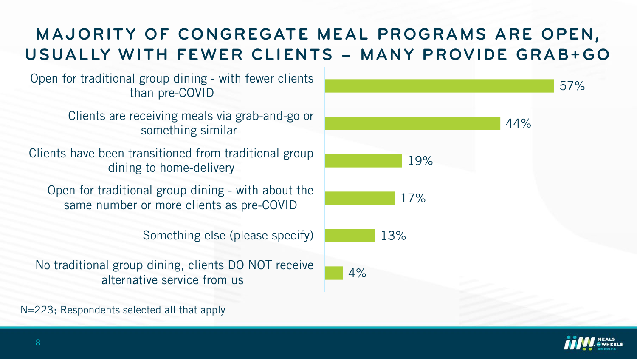#### **MAJORITY OF CONGREGATE MEAL PROGRAMS ARE OPEN, USUALLY WITH FEWER CLIENTS – MANY PROVIDE GRAB+GO**

Open for traditional group dining - with fewer clients than pre-COVID

> Clients are receiving meals via grab-and-go or something similar

Clients have been transitioned from traditional group dining to home-delivery

Open for traditional group dining - with about the same number or more clients as pre-COVID

Something else (please specify)

 No traditional group dining, clients DO NOT receive alternative service from us

N=223; Respondents selected all that apply



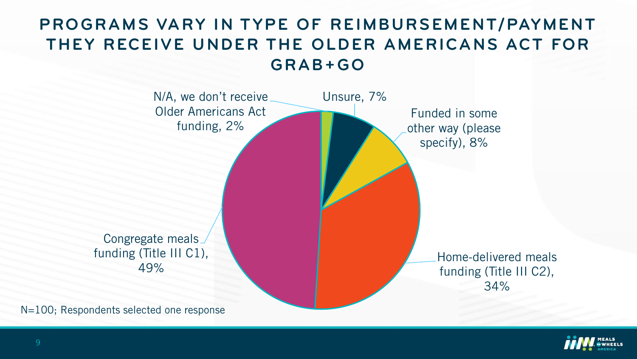#### **PROGRAMS VARY IN TYPE OF REIMBURSEMENT/PAYMENT THEY RECEIVE UNDER THE OLDER AMERICANS ACT FOR GRAB+GO**



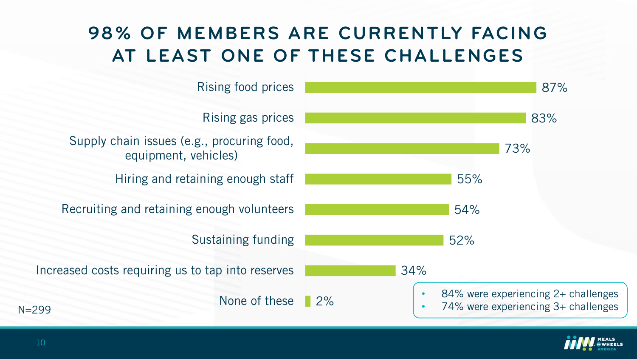# **98% OF MEMBERS ARE CURRENTLY FACING AT LEAST ONE OF THESE CHALLENGES**



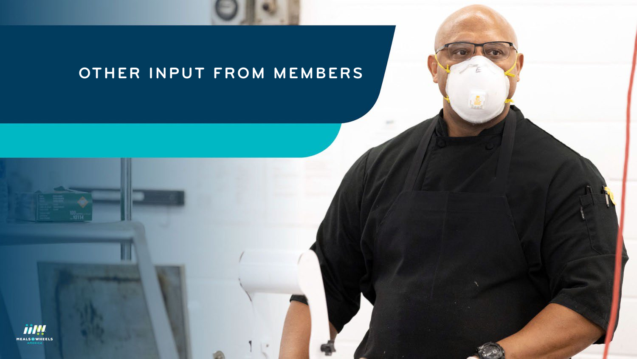### **OTHER INPUT FROM MEMBERS**

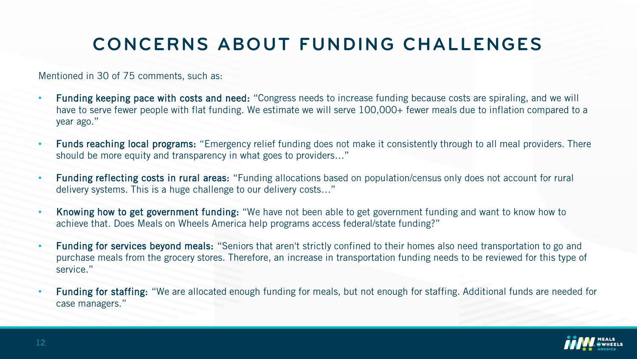# **CONCERNS ABOUT FUNDING CHALLENGES**

Mentioned in 30 of 75 comments, such as:

- Funding keeping pace with costs and need: "Congress needs to increase funding because costs are spiraling, and we will have to serve fewer people with flat funding. We estimate we will serve 100,000+ fewer meals due to inflation compared to a year ago."
- Funds reaching local programs: "Emergency relief funding does not make it consistently through to all meal providers. There should be more equity and transparency in what goes to providers…"
- Funding reflecting costs in rural areas: "Funding allocations based on population/census only does not account for rural delivery systems. This is a huge challenge to our delivery costs…"
- Knowing how to get government funding: "We have not been able to get government funding and want to know how to achieve that. Does Meals on Wheels America help programs access federal/state funding?"
- Funding for services beyond meals: "Seniors that aren't strictly confined to their homes also need transportation to go and purchase meals from the grocery stores. Therefore, an increase in transportation funding needs to be reviewed for this type of service."
- Funding for staffing: "We are allocated enough funding for meals, but not enough for staffing. Additional funds are needed for case managers."

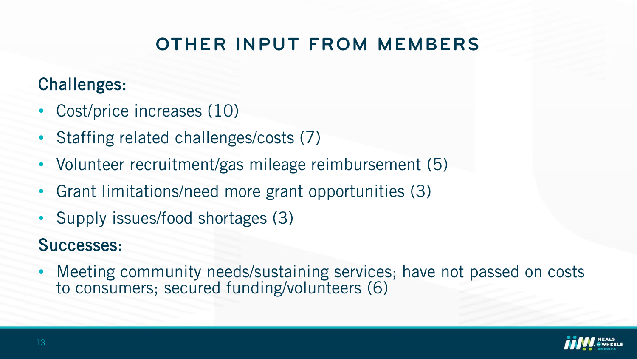# **OTHER INPUT FROM MEMBERS**

#### Challenges:

- Cost/price increases (10)
- Staffing related challenges/costs (7)
- Volunteer recruitment/gas mileage reimbursement (5)
- Grant limitations/need more grant opportunities (3)
- Supply issues/food shortages (3)

# Successes:

• Meeting community needs/sustaining services; have not passed on costs to consumers; secured funding/volunteers (6)